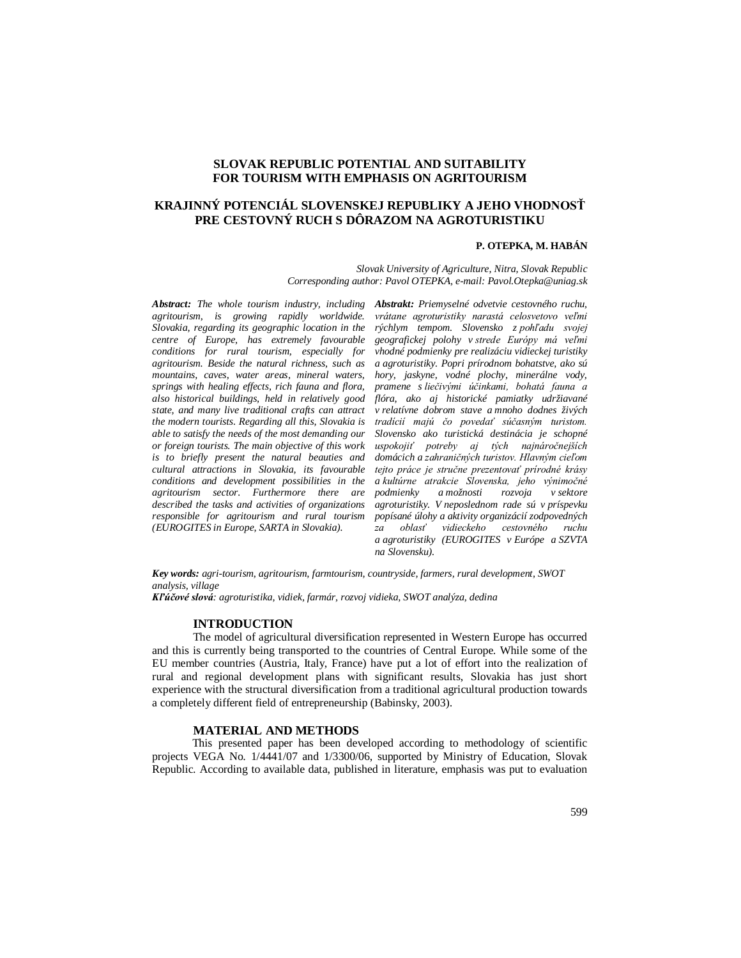# **SLOVAK REPUBLIC POTENTIAL AND SUITABILITY FOR TOURISM WITH EMPHASIS ON AGRITOURISM**

# **KRAJINNÝ POTENCIÁL SLOVENSKEJ REPUBLIKY A JEHO VHODNOSŤ PRE CESTOVNÝ RUCH S DÔRAZOM NA AGROTURISTIKU**

# **P. OTEPKA, M. HABÁN**

*Slovak University of Agriculture, Nitra, Slovak Republic Corresponding author: Pavol OTEPKA, e-mail: Pavol.Otepka@uniag.sk*

*agritourism, is growing rapidly worldwide. Slovakia, regarding its geographic location in the centre of Europe, has extremely favourable conditions for rural tourism, especially for agritourism. Beside the natural richness, such as mountains, caves, water areas, mineral waters, springs with healing effects, rich fauna and flora, also historical buildings, held in relatively good state, and many live traditional crafts can attract the modern tourists. Regarding all this, Slovakia is able to satisfy the needs of the most demanding our or foreign tourists. The main objective of this work is to briefly present the natural beauties and cultural attractions in Slovakia, its favourable conditions and development possibilities in the agritourism sector. Furthermore there are described the tasks and activities of organizations responsible for agritourism and rural tourism (EUROGITES in Europe, SARTA in Slovakia).*

*Abstract: The whole tourism industry, including Abstrakt: Priemyselné odvetvie cestovného ruchu, vrátane agroturistiky narastá celosvetovo veľmi rýchlym tempom. Slovensko z pohľadu svojej geografickej polohy v strede Európy má veľmi vhodné podmienky pre realizáciu vidieckej turistiky a agroturistiky. Popri prírodnom bohatstve, ako sú hory, jaskyne, vodné plochy, minerálne vody, pramene s liečivými účinkami, bohatá fauna a flóra, ako aj historické pamiatky udržiavané v relatívne dobrom stave a mnoho dodnes živých tradícií majú čo povedať súčasným turistom. Slovensko ako turistická destinácia je schopné uspokojiť potreby aj tých najnáročnejších domácich a zahraničných turistov. Hlavným cieľom tejto práce je stručne prezentovať prírodné krásy a kultúrne atrakcie Slovenska, jeho výnimočné podmienky a možnosti rozvoja v sektore agroturistiky. V neposlednom rade sú v príspevku popísané úlohy a aktivity organizácií zodpovedných za oblasť vidieckeho cestovného ruchu a agroturistiky (EUROGITES v Európe a SZVTA na Slovensku).*

*Key words: agri-tourism, agritourism, farmtourism, countryside, farmers, rural development, SWOT analysis, village*

*Kľúčové slová: agroturistika, vidiek, farmár, rozvoj vidieka, SWOT analýza, dedina*

# **INTRODUCTION**

The model of agricultural diversification represented in Western Europe has occurred and this is currently being transported to the countries of Central Europe. While some of the EU member countries (Austria, Italy, France) have put a lot of effort into the realization of rural and regional development plans with significant results, Slovakia has just short experience with the structural diversification from a traditional agricultural production towards a completely different field of entrepreneurship (Babinsky, 2003).

#### **MATERIAL AND METHODS**

This presented paper has been developed according to methodology of scientific projects VEGA No. 1/4441/07 and 1/3300/06, supported by Ministry of Education, Slovak Republic. According to available data, published in literature, emphasis was put to evaluation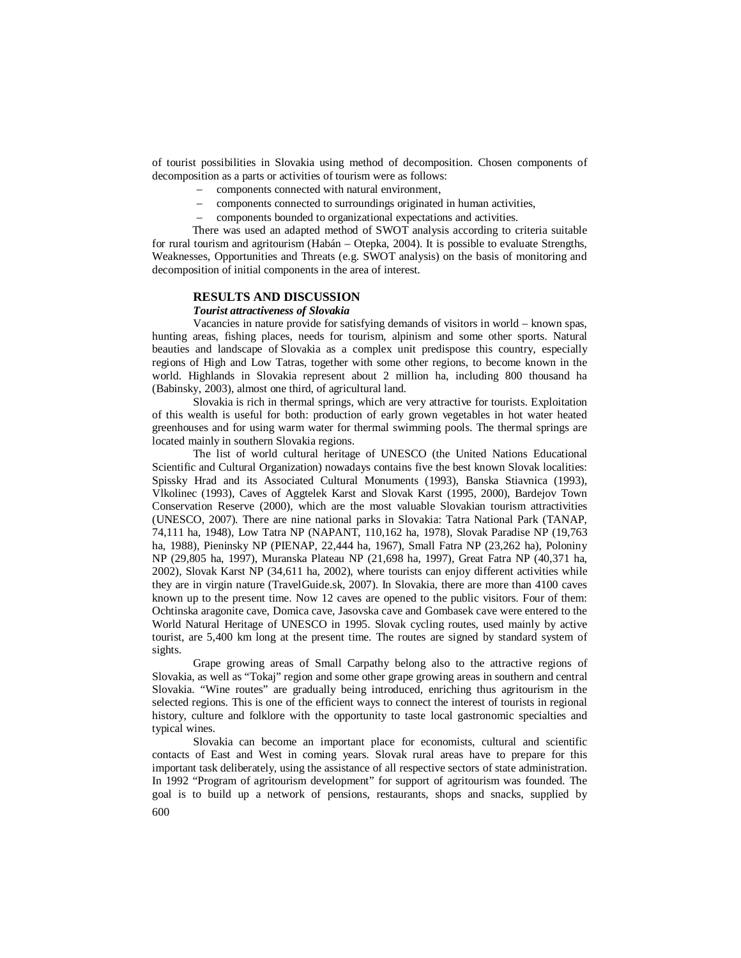of tourist possibilities in Slovakia using method of decomposition. Chosen components of decomposition as a parts or activities of tourism were as follows:

- components connected with natural environment,
- components connected to surroundings originated in human activities,
- components bounded to organizational expectations and activities.

There was used an adapted method of SWOT analysis according to criteria suitable for rural tourism and agritourism (Habán – Otepka, 2004). It is possible to evaluate Strengths, Weaknesses, Opportunities and Threats (e.g. SWOT analysis) on the basis of monitoring and decomposition of initial components in the area of interest.

# **RESULTS AND DISCUSSION**

# *Tourist attractiveness of Slovakia*

Vacancies in nature provide for satisfying demands of visitors in world – known spas, hunting areas, fishing places, needs for tourism, alpinism and some other sports. Natural beauties and landscape of Slovakia as a complex unit predispose this country, especially regions of High and Low Tatras, together with some other regions, to become known in the world. Highlands in Slovakia represent about 2 million ha, including 800 thousand ha (Babinsky, 2003), almost one third, of agricultural land.

Slovakia is rich in thermal springs, which are very attractive for tourists. Exploitation of this wealth is useful for both: production of early grown vegetables in hot water heated greenhouses and for using warm water for thermal swimming pools. The thermal springs are located mainly in southern Slovakia regions.

The list of world cultural heritage of UNESCO (the United Nations Educational Scientific and Cultural Organization) nowadays contains five the best known Slovak localities: Spissky Hrad and its Associated Cultural Monuments (1993), Banska Stiavnica (1993), Vlkolinec (1993), Caves of Aggtelek Karst and Slovak Karst (1995, 2000), Bardejov Town Conservation Reserve (2000), which are the most valuable Slovakian tourism attractivities (UNESCO, 2007). There are nine national parks in Slovakia: Tatra National Park (TANAP, 74,111 ha, 1948), Low Tatra NP (NAPANT, 110,162 ha, 1978), Slovak Paradise NP (19,763 ha, 1988), Pieninsky NP (PIENAP, 22,444 ha, 1967), Small Fatra NP (23,262 ha), Poloniny NP (29,805 ha, 1997), Muranska Plateau NP (21,698 ha, 1997), Great Fatra NP (40,371 ha, 2002), Slovak Karst NP (34,611 ha, 2002), where tourists can enjoy different activities while they are in virgin nature (TravelGuide.sk, 2007). In Slovakia, there are more than 4100 caves known up to the present time. Now 12 caves are opened to the public visitors. Four of them: Ochtinska aragonite cave, Domica cave, Jasovska cave and Gombasek cave were entered to the World Natural Heritage of UNESCO in 1995. Slovak cycling routes, used mainly by active tourist, are 5,400 km long at the present time. The routes are signed by standard system of sights.

Grape growing areas of Small Carpathy belong also to the attractive regions of Slovakia, as well as "Tokaj" region and some other grape growing areas in southern and central Slovakia. "Wine routes" are gradually being introduced, enriching thus agritourism in the selected regions. This is one of the efficient ways to connect the interest of tourists in regional history, culture and folklore with the opportunity to taste local gastronomic specialties and typical wines.

Slovakia can become an important place for economists, cultural and scientific contacts of East and West in coming years. Slovak rural areas have to prepare for this important task deliberately, using the assistance of all respective sectors of state administration. In 1992 "Program of agritourism development" for support of agritourism was founded. The goal is to build up a network of pensions, restaurants, shops and snacks, supplied by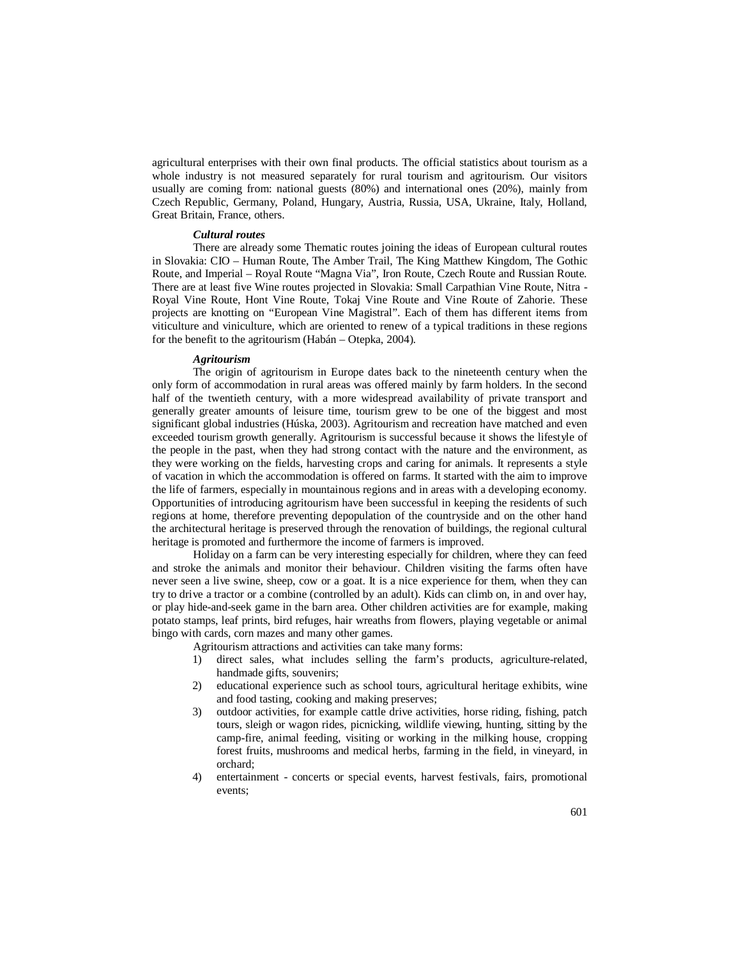agricultural enterprises with their own final products. The official statistics about tourism as a whole industry is not measured separately for rural tourism and agritourism. Our visitors usually are coming from: national guests (80%) and international ones (20%), mainly from Czech Republic, Germany, Poland, Hungary, Austria, Russia, USA, Ukraine, Italy, Holland, Great Britain, France, others.

# *Cultural routes*

There are already some Thematic routes joining the ideas of European cultural routes in Slovakia: CIO – Human Route, The Amber Trail, The King Matthew Kingdom, The Gothic Route, and Imperial – Royal Route "Magna Via", Iron Route, Czech Route and Russian Route. There are at least five Wine routes projected in Slovakia: Small Carpathian Vine Route, Nitra - Royal Vine Route, Hont Vine Route, Tokaj Vine Route and Vine Route of Zahorie. These projects are knotting on "European Vine Magistral". Each of them has different items from viticulture and viniculture, which are oriented to renew of a typical traditions in these regions for the benefit to the agritourism (Habán – Otepka, 2004).

#### *Agritourism*

The origin of agritourism in Europe dates back to the nineteenth century when the only form of accommodation in rural areas was offered mainly by farm holders. In the second half of the twentieth century, with a more widespread availability of private transport and generally greater amounts of leisure time, tourism grew to be one of the biggest and most significant global industries (Húska, 2003). Agritourism and recreation have matched and even exceeded tourism growth generally. Agritourism is successful because it shows the lifestyle of the people in the past, when they had strong contact with the nature and the environment, as they were working on the fields, harvesting crops and caring for animals. It represents a style of vacation in which the accommodation is offered on farms. It started with the aim to improve the life of farmers, especially in mountainous regions and in areas with a developing economy. Opportunities of introducing agritourism have been successful in keeping the residents of such regions at home, therefore preventing depopulation of the countryside and on the other hand the architectural heritage is preserved through the renovation of buildings, the regional cultural heritage is promoted and furthermore the income of farmers is improved.

Holiday on a farm can be very interesting especially for children, where they can feed and stroke the animals and monitor their behaviour. Children visiting the farms often have never seen a live swine, sheep, cow or a goat. It is a nice experience for them, when they can try to drive a tractor or a combine (controlled by an adult). Kids can climb on, in and over hay, or play hide-and-seek game in the barn area. Other children activities are for example, making potato stamps, leaf prints, bird refuges, hair wreaths from flowers, playing vegetable or animal bingo with cards, corn mazes and many other games.

Agritourism attractions and activities can take many forms:

- 1) direct sales, what includes selling the farm's products, agriculture-related, handmade gifts, souvenirs;
- 2) educational experience such as school tours, agricultural heritage exhibits, wine and food tasting, cooking and making preserves;
- 3) outdoor activities, for example cattle drive activities, horse riding, fishing, patch tours, sleigh or wagon rides, picnicking, wildlife viewing, hunting, sitting by the camp-fire, animal feeding, visiting or working in the milking house, cropping forest fruits, mushrooms and medical herbs, farming in the field, in vineyard, in orchard;
- 4) entertainment concerts or special events, harvest festivals, fairs, promotional events;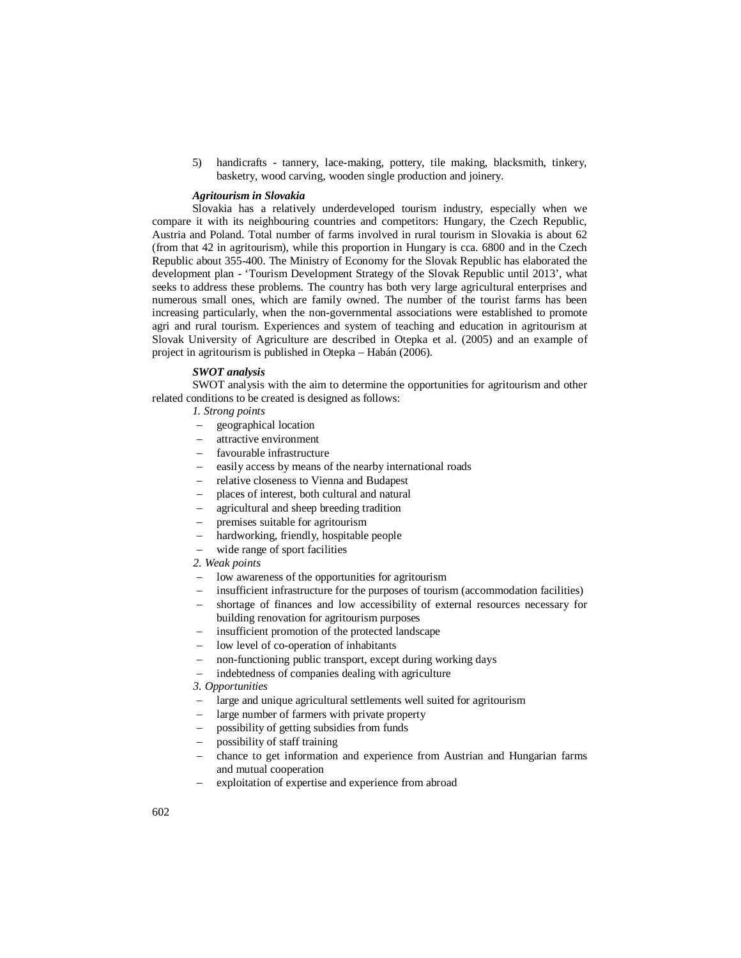5) handicrafts - tannery, lace-making, pottery, tile making, blacksmith, tinkery, basketry, wood carving, wooden single production and joinery.

### *Agritourism in Slovakia*

Slovakia has a relatively underdeveloped tourism industry, especially when we compare it with its neighbouring countries and competitors: Hungary, the Czech Republic, Austria and Poland. Total number of farms involved in rural tourism in Slovakia is about 62 (from that 42 in agritourism), while this proportion in Hungary is cca. 6800 and in the Czech Republic about 355-400. The Ministry of Economy for the Slovak Republic has elaborated the development plan - 'Tourism Development Strategy of the Slovak Republic until 2013', what seeks to address these problems. The country has both very large agricultural enterprises and numerous small ones, which are family owned. The number of the tourist farms has been increasing particularly, when the non-governmental associations were established to promote agri and rural tourism. Experiences and system of teaching and education in agritourism at Slovak University of Agriculture are described in Otepka et al. (2005) and an example of project in agritourism is published in Otepka – Habán (2006).

# *SWOT analysis*

SWOT analysis with the aim to determine the opportunities for agritourism and other related conditions to be created is designed as follows:

- *1. Strong points*
- geographical location
- attractive environment
- favourable infrastructure
- easily access by means of the nearby international roads
- relative closeness to Vienna and Budapest
- places of interest, both cultural and natural
- agricultural and sheep breeding tradition
- premises suitable for agritourism
- hardworking, friendly, hospitable people
- wide range of sport facilities
- *2. Weak points*
- low awareness of the opportunities for agritourism
- insufficient infrastructure for the purposes of tourism (accommodation facilities)
- shortage of finances and low accessibility of external resources necessary for building renovation for agritourism purposes
- insufficient promotion of the protected landscape
- low level of co-operation of inhabitants
- non-functioning public transport, except during working days
- indebtedness of companies dealing with agriculture

*3. Opportunities*

- large and unique agricultural settlements well suited for agritourism
- large number of farmers with private property
- possibility of getting subsidies from funds
- possibility of staff training
- chance to get information and experience from Austrian and Hungarian farms and mutual cooperation
- exploitation of expertise and experience from abroad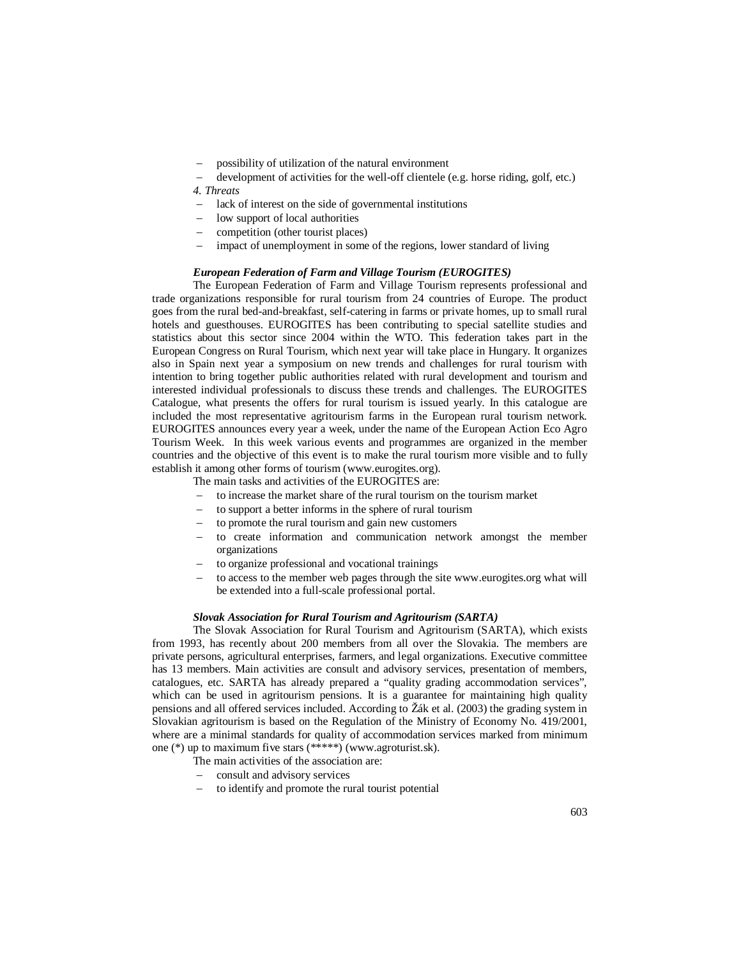possibility of utilization of the natural environment

 development of activities for the well-off clientele (e.g. horse riding, golf, etc.) *4. Threats*

- lack of interest on the side of governmental institutions
- low support of local authorities
- competition (other tourist places)
- impact of unemployment in some of the regions, lower standard of living

# *European Federation of Farm and Village Tourism (EUROGITES)*

The European Federation of Farm and Village Tourism represents professional and trade organizations responsible for rural tourism from 24 countries of Europe. The product goes from the rural bed-and-breakfast, self-catering in farms or private homes, up to small rural hotels and guesthouses. EUROGITES has been contributing to special satellite studies and statistics about this sector since 2004 within the WTO. This federation takes part in the European Congress on Rural Tourism, which next year will take place in Hungary. It organizes also in Spain next year a symposium on new trends and challenges for rural tourism with intention to bring together public authorities related with rural development and tourism and interested individual professionals to discuss these trends and challenges. The EUROGITES Catalogue, what presents the offers for rural tourism is issued yearly. In this catalogue are included the most representative agritourism farms in the European rural tourism network. EUROGITES announces every year a week, under the name of the European Action Eco Agro Tourism Week. In this week various events and programmes are organized in the member countries and the objective of this event is to make the rural tourism more visible and to fully establish it among other forms of tourism (www.eurogites.org).

The main tasks and activities of the EUROGITES are:

- to increase the market share of the rural tourism on the tourism market
- to support a better informs in the sphere of rural tourism
- to promote the rural tourism and gain new customers
- to create information and communication network amongst the member organizations
- to organize professional and vocational trainings
- to access to the member web pages through the site www.eurogites.org what will be extended into a full-scale professional portal.

#### *Slovak Association for Rural Tourism and Agritourism (SARTA)*

The Slovak Association for Rural Tourism and Agritourism (SARTA), which exists from 1993, has recently about 200 members from all over the Slovakia. The members are private persons, agricultural enterprises, farmers, and legal organizations. Executive committee has 13 members. Main activities are consult and advisory services, presentation of members, catalogues, etc. SARTA has already prepared a "quality grading accommodation services", which can be used in agritourism pensions. It is a guarantee for maintaining high quality pensions and all offered services included. According to Žák et al. (2003) the grading system in Slovakian agritourism is based on the Regulation of the Ministry of Economy No. 419/2001, where are a minimal standards for quality of accommodation services marked from minimum one (\*) up to maximum five stars (\*\*\*\*\*) (www.agroturist.sk).

- The main activities of the association are:
- consult and advisory services
- to identify and promote the rural tourist potential